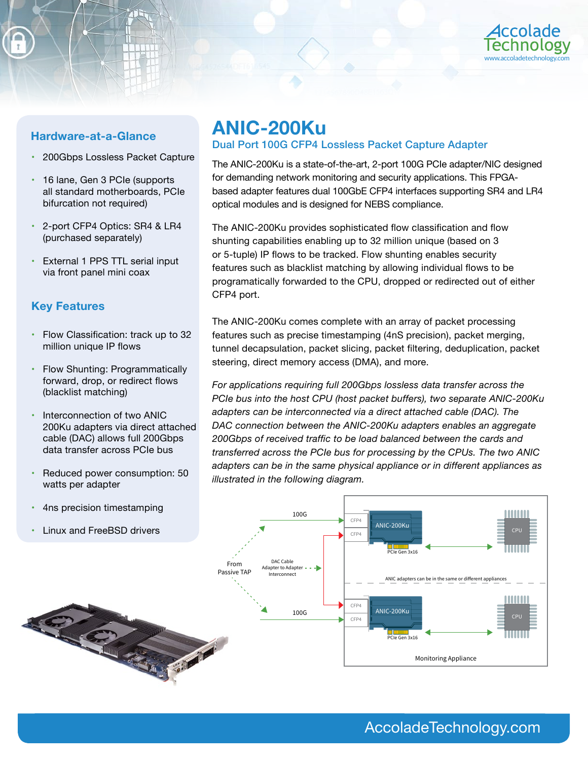

- 200Gbps Lossless Packet Capture
- 16 lane, Gen 3 PCIe (supports all standard motherboards, PCIe bifurcation not required)
- 2-port CFP4 Optics: SR4 & LR4 (purchased separately)
- External 1 PPS TTL serial input via front panel mini coax

# **Key Features**

- Flow Classification: track up to 32 million unique IP flows
- Flow Shunting: Programmatically forward, drop, or redirect flows (blacklist matching)
- Interconnection of two ANIC 200Ku adapters via direct attached cable (DAC) allows full 200Gbps data transfer across PCIe bus
- Reduced power consumption: 50 watts per adapter
- 4ns precision timestamping
- Linux and FreeBSD drivers

# **Hardware-at-a-Glance ANIC-200Ku**

# Dual Port 100G CFP4 Lossless Packet Capture Adapter

The ANIC-200Ku is a state-of-the-art, 2-port 100G PCIe adapter/NIC designed for demanding network monitoring and security applications. This FPGAbased adapter features dual 100GbE CFP4 interfaces supporting SR4 and LR4 optical modules and is designed for NEBS compliance.

The ANIC-200Ku provides sophisticated flow classification and flow shunting capabilities enabling up to 32 million unique (based on 3 or 5-tuple) IP flows to be tracked. Flow shunting enables security features such as blacklist matching by allowing individual flows to be programatically forwarded to the CPU, dropped or redirected out of either CFP4 port.

The ANIC-200Ku comes complete with an array of packet processing features such as precise timestamping (4nS precision), packet merging, tunnel decapsulation, packet slicing, packet filtering, deduplication, packet steering, direct memory access (DMA), and more.

*For applications requiring full 200Gbps lossless data transfer across the PCIe bus into the host CPU (host packet buffers), two separate ANIC-200Ku adapters can be interconnected via a direct attached cable (DAC). The DAC connection between the ANIC-200Ku adapters enables an aggregate 200Gbps of received traffic to be load balanced between the cards and transferred across the PCIe bus for processing by the CPUs. The two ANIC adapters can be in the same physical appliance or in different appliances as illustrated in the following diagram.*